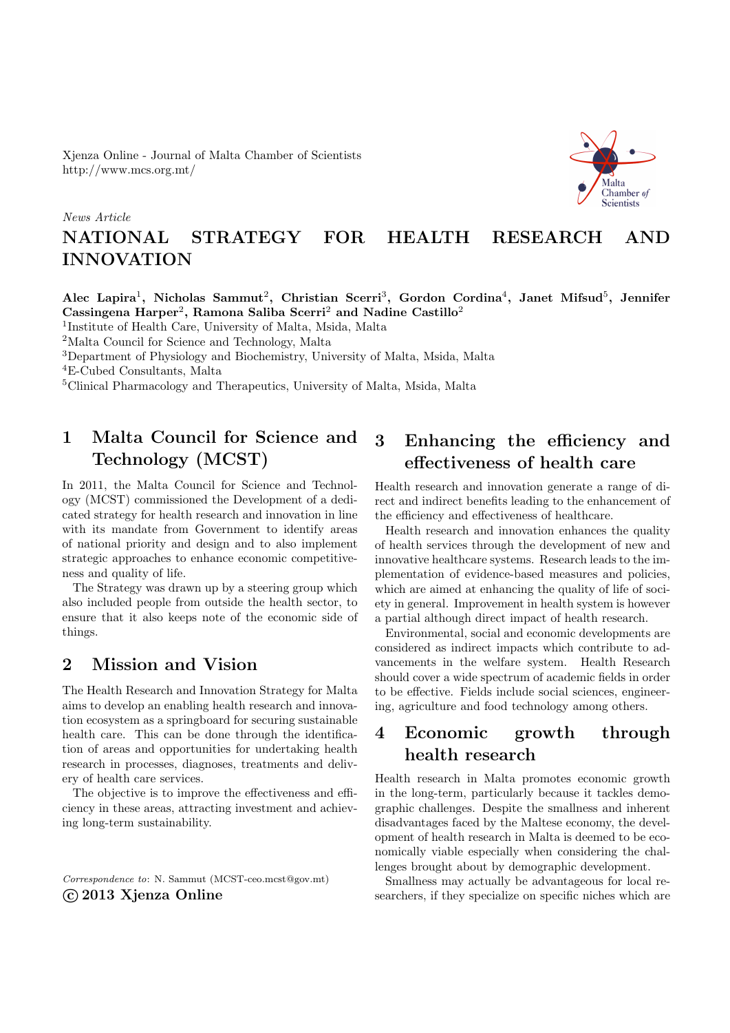Xjenza Online - Journal of Malta Chamber of Scientists http://www.mcs.org.mt/

#### News Article

# Aalta Chamber of Scientists

# NATIONAL STRATEGY FOR HEALTH RESEARCH AND INNOVATION

Alec Lapira<sup>1</sup>, Nicholas Sammut<sup>2</sup>, Christian Scerri<sup>3</sup>, Gordon Cordina<sup>4</sup>, Janet Mifsud<sup>5</sup>, Jennifer Cassingena Harper<sup>2</sup>, Ramona Saliba Scerri<sup>2</sup> and Nadine Castillo<sup>2</sup>

1 Institute of Health Care, University of Malta, Msida, Malta

<sup>2</sup>Malta Council for Science and Technology, Malta

<sup>3</sup>Department of Physiology and Biochemistry, University of Malta, Msida, Malta

<sup>4</sup>E-Cubed Consultants, Malta

<sup>5</sup>Clinical Pharmacology and Therapeutics, University of Malta, Msida, Malta

# 1 Malta Council for Science and Technology (MCST)

In 2011, the Malta Council for Science and Technology (MCST) commissioned the Development of a dedicated strategy for health research and innovation in line with its mandate from Government to identify areas of national priority and design and to also implement strategic approaches to enhance economic competitiveness and quality of life.

The Strategy was drawn up by a steering group which also included people from outside the health sector, to ensure that it also keeps note of the economic side of things.

### 2 Mission and Vision

The Health Research and Innovation Strategy for Malta aims to develop an enabling health research and innovation ecosystem as a springboard for securing sustainable health care. This can be done through the identification of areas and opportunities for undertaking health research in processes, diagnoses, treatments and delivery of health care services.

The objective is to improve the effectiveness and efficiency in these areas, attracting investment and achieving long-term sustainability.

Correspondence to: N. Sammut [\(MCST-ceo.mcst@gov.mt\)](mailto:MCST-ceo.mcst@gov.mt) c 2013 Xjenza Online

# 3 Enhancing the efficiency and effectiveness of health care

Health research and innovation generate a range of direct and indirect benefits leading to the enhancement of the efficiency and effectiveness of healthcare.

Health research and innovation enhances the quality of health services through the development of new and innovative healthcare systems. Research leads to the implementation of evidence-based measures and policies, which are aimed at enhancing the quality of life of society in general. Improvement in health system is however a partial although direct impact of health research.

Environmental, social and economic developments are considered as indirect impacts which contribute to advancements in the welfare system. Health Research should cover a wide spectrum of academic fields in order to be effective. Fields include social sciences, engineering, agriculture and food technology among others.

### 4 Economic growth through health research

Health research in Malta promotes economic growth in the long-term, particularly because it tackles demographic challenges. Despite the smallness and inherent disadvantages faced by the Maltese economy, the development of health research in Malta is deemed to be economically viable especially when considering the challenges brought about by demographic development.

Smallness may actually be advantageous for local researchers, if they specialize on specific niches which are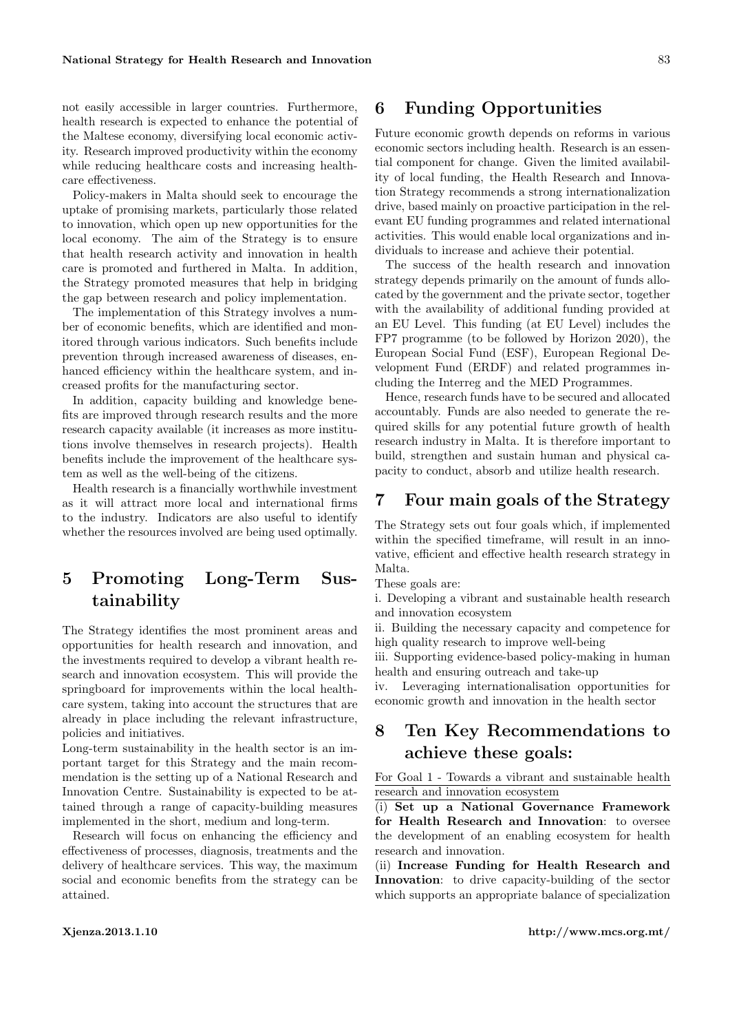not easily accessible in larger countries. Furthermore, health research is expected to enhance the potential of the Maltese economy, diversifying local economic activity. Research improved productivity within the economy while reducing healthcare costs and increasing healthcare effectiveness.

Policy-makers in Malta should seek to encourage the uptake of promising markets, particularly those related to innovation, which open up new opportunities for the local economy. The aim of the Strategy is to ensure that health research activity and innovation in health care is promoted and furthered in Malta. In addition, the Strategy promoted measures that help in bridging the gap between research and policy implementation.

The implementation of this Strategy involves a number of economic benefits, which are identified and monitored through various indicators. Such benefits include prevention through increased awareness of diseases, enhanced efficiency within the healthcare system, and increased profits for the manufacturing sector.

In addition, capacity building and knowledge benefits are improved through research results and the more research capacity available (it increases as more institutions involve themselves in research projects). Health benefits include the improvement of the healthcare system as well as the well-being of the citizens.

Health research is a financially worthwhile investment as it will attract more local and international firms to the industry. Indicators are also useful to identify whether the resources involved are being used optimally.

## 5 Promoting Long-Term Sustainability

The Strategy identifies the most prominent areas and opportunities for health research and innovation, and the investments required to develop a vibrant health research and innovation ecosystem. This will provide the springboard for improvements within the local healthcare system, taking into account the structures that are already in place including the relevant infrastructure, policies and initiatives.

Long-term sustainability in the health sector is an important target for this Strategy and the main recommendation is the setting up of a National Research and Innovation Centre. Sustainability is expected to be attained through a range of capacity-building measures implemented in the short, medium and long-term.

Research will focus on enhancing the efficiency and effectiveness of processes, diagnosis, treatments and the delivery of healthcare services. This way, the maximum social and economic benefits from the strategy can be attained.

### 6 Funding Opportunities

Future economic growth depends on reforms in various economic sectors including health. Research is an essential component for change. Given the limited availability of local funding, the Health Research and Innovation Strategy recommends a strong internationalization drive, based mainly on proactive participation in the relevant EU funding programmes and related international activities. This would enable local organizations and individuals to increase and achieve their potential.

The success of the health research and innovation strategy depends primarily on the amount of funds allocated by the government and the private sector, together with the availability of additional funding provided at an EU Level. This funding (at EU Level) includes the FP7 programme (to be followed by Horizon 2020), the European Social Fund (ESF), European Regional Development Fund (ERDF) and related programmes including the Interreg and the MED Programmes.

Hence, research funds have to be secured and allocated accountably. Funds are also needed to generate the required skills for any potential future growth of health research industry in Malta. It is therefore important to build, strengthen and sustain human and physical capacity to conduct, absorb and utilize health research.

### 7 Four main goals of the Strategy

The Strategy sets out four goals which, if implemented within the specified timeframe, will result in an innovative, efficient and effective health research strategy in Malta.

These goals are:

i. Developing a vibrant and sustainable health research and innovation ecosystem

ii. Building the necessary capacity and competence for high quality research to improve well-being

iii. Supporting evidence-based policy-making in human health and ensuring outreach and take-up

iv. Leveraging internationalisation opportunities for economic growth and innovation in the health sector

### 8 Ten Key Recommendations to achieve these goals:

For Goal 1 - Towards a vibrant and sustainable health research and innovation ecosystem

(i) Set up a National Governance Framework for Health Research and Innovation: to oversee the development of an enabling ecosystem for health research and innovation.

(ii) Increase Funding for Health Research and Innovation: to drive capacity-building of the sector which supports an appropriate balance of specialization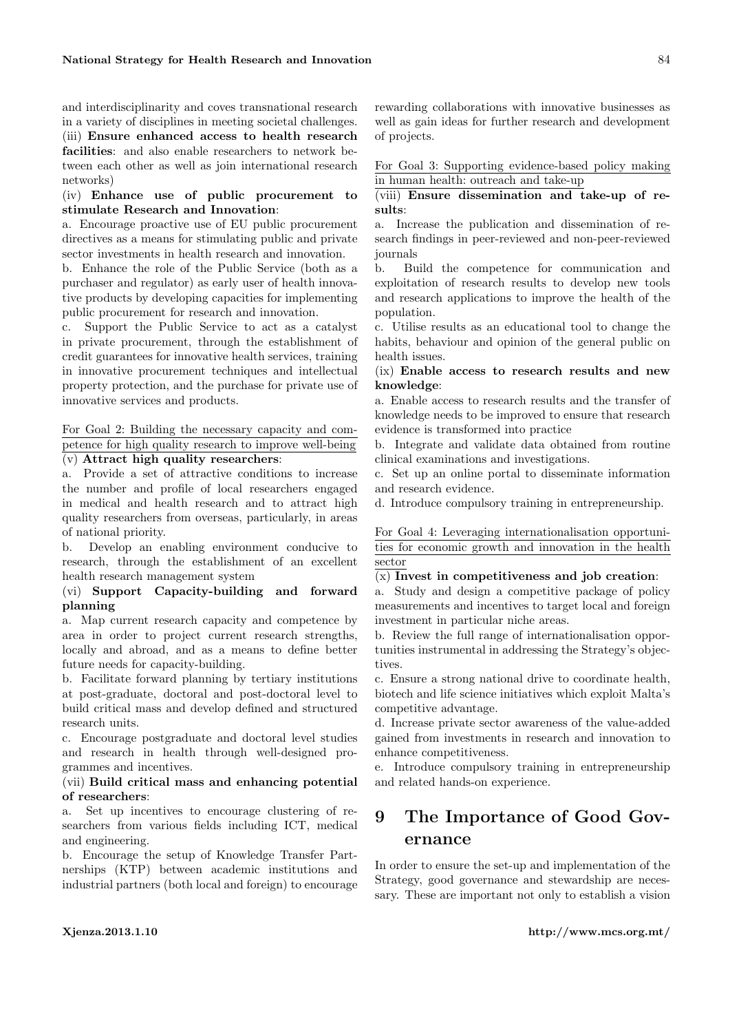and interdisciplinarity and coves transnational research in a variety of disciplines in meeting societal challenges. (iii) Ensure enhanced access to health research facilities: and also enable researchers to network between each other as well as join international research networks)

(iv) Enhance use of public procurement to stimulate Research and Innovation:

a. Encourage proactive use of EU public procurement directives as a means for stimulating public and private sector investments in health research and innovation.

b. Enhance the role of the Public Service (both as a purchaser and regulator) as early user of health innovative products by developing capacities for implementing public procurement for research and innovation.

c. Support the Public Service to act as a catalyst in private procurement, through the establishment of credit guarantees for innovative health services, training in innovative procurement techniques and intellectual property protection, and the purchase for private use of innovative services and products.

```
For Goal 2: Building the necessary capacity and com-
petence for high quality research to improve well-being
```
#### $\overline{(v)}$  Attract high quality researchers:

a. Provide a set of attractive conditions to increase the number and profile of local researchers engaged in medical and health research and to attract high quality researchers from overseas, particularly, in areas of national priority.

b. Develop an enabling environment conducive to research, through the establishment of an excellent health research management system

#### (vi) Support Capacity-building and forward planning

a. Map current research capacity and competence by area in order to project current research strengths, locally and abroad, and as a means to define better future needs for capacity-building.

b. Facilitate forward planning by tertiary institutions at post-graduate, doctoral and post-doctoral level to build critical mass and develop defined and structured research units.

c. Encourage postgraduate and doctoral level studies and research in health through well-designed programmes and incentives.

#### (vii) Build critical mass and enhancing potential of researchers:

a. Set up incentives to encourage clustering of researchers from various fields including ICT, medical and engineering.

b. Encourage the setup of Knowledge Transfer Partnerships (KTP) between academic institutions and industrial partners (both local and foreign) to encourage rewarding collaborations with innovative businesses as well as gain ideas for further research and development of projects.

For Goal 3: Supporting evidence-based policy making in human health: outreach and take-up

#### (viii) Ensure dissemination and take-up of results:

a. Increase the publication and dissemination of research findings in peer-reviewed and non-peer-reviewed journals

b. Build the competence for communication and exploitation of research results to develop new tools and research applications to improve the health of the population.

c. Utilise results as an educational tool to change the habits, behaviour and opinion of the general public on health issues.

#### (ix) Enable access to research results and new knowledge:

a. Enable access to research results and the transfer of knowledge needs to be improved to ensure that research evidence is transformed into practice

b. Integrate and validate data obtained from routine clinical examinations and investigations.

c. Set up an online portal to disseminate information and research evidence.

d. Introduce compulsory training in entrepreneurship.

For Goal 4: Leveraging internationalisation opportunities for economic growth and innovation in the health sector

#### (x) Invest in competitiveness and job creation:

a. Study and design a competitive package of policy measurements and incentives to target local and foreign investment in particular niche areas.

b. Review the full range of internationalisation opportunities instrumental in addressing the Strategy's objectives.

c. Ensure a strong national drive to coordinate health, biotech and life science initiatives which exploit Malta's competitive advantage.

d. Increase private sector awareness of the value-added gained from investments in research and innovation to enhance competitiveness.

e. Introduce compulsory training in entrepreneurship and related hands-on experience.

### 9 The Importance of Good Governance

In order to ensure the set-up and implementation of the Strategy, good governance and stewardship are necessary. These are important not only to establish a vision